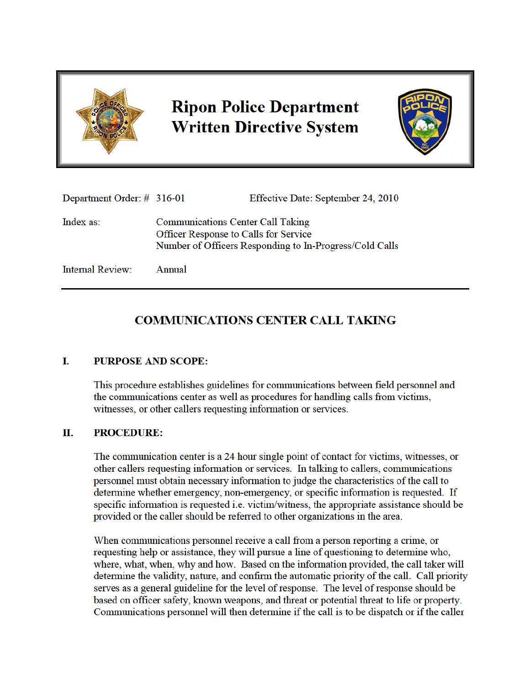

# **Ripon Police Department Written Directive System**



| Department Order: $\#$ 316-01 |                                                                                                                                              | Effective Date: September 24, 2010 |
|-------------------------------|----------------------------------------------------------------------------------------------------------------------------------------------|------------------------------------|
| Index as:                     | <b>Communications Center Call Taking</b><br>Officer Response to Calls for Service<br>Number of Officers Responding to In-Progress/Cold Calls |                                    |
| <b>Internal Review:</b>       | Annual                                                                                                                                       |                                    |

### **COMMUNICATIONS CENTER CALL TAKING**

#### I. **PURPOSE AND SCOPE:**

This procedure establishes guidelines for communications between field personnel and the communications center as well as procedures for handling calls from victims, witnesses, or other callers requesting information or services.

#### П. **PROCEDURE:**

The communication center is a 24 hour single point of contact for victims, witnesses, or other callers requesting information or services. In talking to callers, communications personnel must obtain necessary information to judge the characteristics of the call to determine whether emergency, non-emergency, or specific information is requested. If specific information is requested i.e. victim/witness, the appropriate assistance should be provided or the caller should be referred to other organizations in the area.

When communications personnel receive a call from a person reporting a crime, or requesting help or assistance, they will pursue a line of questioning to determine who, where, what, when, why and how. Based on the information provided, the call taker will determine the validity, nature, and confirm the automatic priority of the call. Call priority serves as a general guideline for the level of response. The level of response should be based on officer safety, known weapons, and threat or potential threat to life or property. Communications personnel will then determine if the call is to be dispatch or if the caller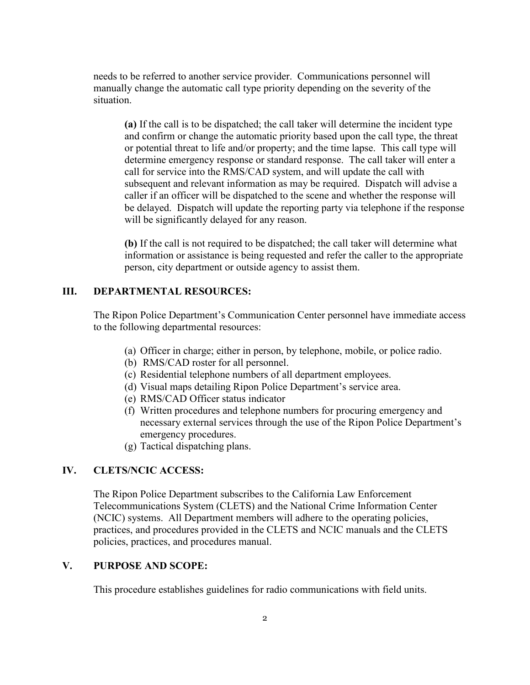needs to be referred to another service provider. Communications personnel will manually change the automatic call type priority depending on the severity of the situation.

**(a)** If the call is to be dispatched; the call taker will determine the incident type and confirm or change the automatic priority based upon the call type, the threat or potential threat to life and/or property; and the time lapse. This call type will determine emergency response or standard response. The call taker will enter a call for service into the RMS/CAD system, and will update the call with subsequent and relevant information as may be required. Dispatch will advise a caller if an officer will be dispatched to the scene and whether the response will be delayed. Dispatch will update the reporting party via telephone if the response will be significantly delayed for any reason.

**(b)** If the call is not required to be dispatched; the call taker will determine what information or assistance is being requested and refer the caller to the appropriate person, city department or outside agency to assist them.

### **III. DEPARTMENTAL RESOURCES:**

The Ripon Police Department's Communication Center personnel have immediate access to the following departmental resources:

- (a) Officer in charge; either in person, by telephone, mobile, or police radio.
- (b) RMS/CAD roster for all personnel.
- (c) Residential telephone numbers of all department employees.
- (d) Visual maps detailing Ripon Police Department's service area.
- (e) RMS/CAD Officer status indicator
- (f) Written procedures and telephone numbers for procuring emergency and necessary external services through the use of the Ripon Police Department's emergency procedures.
- (g) Tactical dispatching plans.

#### **IV. CLETS/NCIC ACCESS:**

The Ripon Police Department subscribes to the California Law Enforcement Telecommunications System (CLETS) and the National Crime Information Center (NCIC) systems. All Department members will adhere to the operating policies, practices, and procedures provided in the CLETS and NCIC manuals and the CLETS policies, practices, and procedures manual.

#### **V. PURPOSE AND SCOPE:**

This procedure establishes guidelines for radio communications with field units.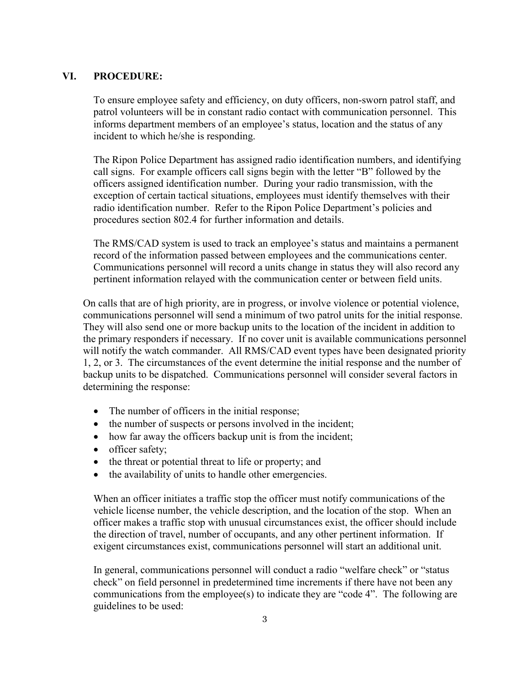### **VI. PROCEDURE:**

To ensure employee safety and efficiency, on duty officers, non-sworn patrol staff, and patrol volunteers will be in constant radio contact with communication personnel. This informs department members of an employee's status, location and the status of any incident to which he/she is responding.

The Ripon Police Department has assigned radio identification numbers, and identifying call signs. For example officers call signs begin with the letter "B" followed by the officers assigned identification number. During your radio transmission, with the exception of certain tactical situations, employees must identify themselves with their radio identification number. Refer to the Ripon Police Department's policies and procedures section 802.4 for further information and details.

The RMS/CAD system is used to track an employee's status and maintains a permanent record of the information passed between employees and the communications center. Communications personnel will record a units change in status they will also record any pertinent information relayed with the communication center or between field units.

On calls that are of high priority, are in progress, or involve violence or potential violence, communications personnel will send a minimum of two patrol units for the initial response. They will also send one or more backup units to the location of the incident in addition to the primary responders if necessary. If no cover unit is available communications personnel will notify the watch commander. All RMS/CAD event types have been designated priority 1, 2, or 3. The circumstances of the event determine the initial response and the number of backup units to be dispatched. Communications personnel will consider several factors in determining the response:

- The number of officers in the initial response;
- the number of suspects or persons involved in the incident;
- how far away the officers backup unit is from the incident;
- officer safety:
- the threat or potential threat to life or property; and
- the availability of units to handle other emergencies.

When an officer initiates a traffic stop the officer must notify communications of the vehicle license number, the vehicle description, and the location of the stop. When an officer makes a traffic stop with unusual circumstances exist, the officer should include the direction of travel, number of occupants, and any other pertinent information. If exigent circumstances exist, communications personnel will start an additional unit.

In general, communications personnel will conduct a radio "welfare check" or "status check" on field personnel in predetermined time increments if there have not been any communications from the employee(s) to indicate they are "code 4". The following are guidelines to be used: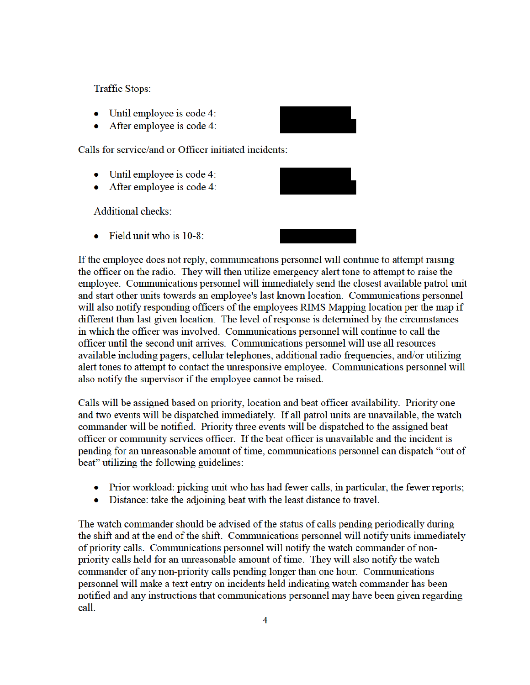**Traffic Stops:** 

- Until employee is code 4:
- After employee is code 4:  $\bullet$

Calls for service/and or Officer initiated incidents:

- $\bullet$  Until employee is code 4:
- $\bullet$  After employee is code 4:

**Additional checks:** 

Field unit who is 10-8:

If the employee does not reply, communications personnel will continue to attempt raising the officer on the radio. They will then utilize emergency alert tone to attempt to raise the employee. Communications personnel will immediately send the closest available patrol unit and start other units towards an employee's last known location. Communications personnel will also notify responding officers of the employees RIMS Mapping location per the map if different than last given location. The level of response is determined by the circumstances in which the officer was involved. Communications personnel will continue to call the officer until the second unit arrives. Communications personnel will use all resources available including pagers, cellular telephones, additional radio frequencies, and/or utilizing alert tones to attempt to contact the unresponsive employee. Communications personnel will also notify the supervisor if the employee cannot be raised.

Calls will be assigned based on priority, location and beat officer availability. Priority one and two events will be dispatched immediately. If all patrol units are unavailable, the watch commander will be notified. Priority three events will be dispatched to the assigned beat officer or community services officer. If the beat officer is unavailable and the incident is pending for an unreasonable amount of time, communications personnel can dispatch "out of beat" utilizing the following guidelines:

- Prior workload: picking unit who has had fewer calls, in particular, the fewer reports;
- Distance: take the adjoining beat with the least distance to travel.

The watch commander should be advised of the status of calls pending periodically during the shift and at the end of the shift. Communications personnel will notify units immediately of priority calls. Communications personnel will notify the watch commander of nonpriority calls held for an unreasonable amount of time. They will also notify the watch commander of any non-priority calls pending longer than one hour. Communications personnel will make a text entry on incidents held indicating watch commander has been notified and any instructions that communications personnel may have been given regarding call.

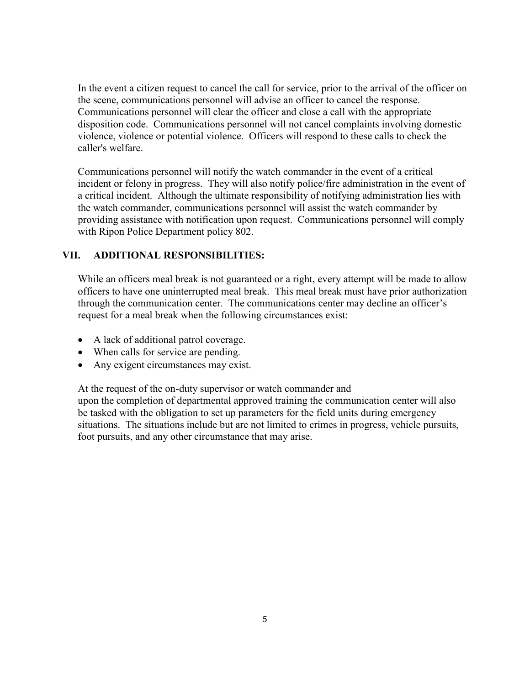In the event a citizen request to cancel the call for service, prior to the arrival of the officer on the scene, communications personnel will advise an officer to cancel the response. Communications personnel will clear the officer and close a call with the appropriate disposition code. Communications personnel will not cancel complaints involving domestic violence, violence or potential violence. Officers will respond to these calls to check the caller's welfare.

Communications personnel will notify the watch commander in the event of a critical incident or felony in progress. They will also notify police/fire administration in the event of a critical incident. Although the ultimate responsibility of notifying administration lies with the watch commander, communications personnel will assist the watch commander by providing assistance with notification upon request. Communications personnel will comply with Ripon Police Department policy 802.

### **VII. ADDITIONAL RESPONSIBILITIES:**

While an officers meal break is not guaranteed or a right, every attempt will be made to allow officers to have one uninterrupted meal break. This meal break must have prior authorization through the communication center. The communications center may decline an officer's request for a meal break when the following circumstances exist:

- A lack of additional patrol coverage.
- When calls for service are pending.
- Any exigent circumstances may exist.

At the request of the on-duty supervisor or watch commander and upon the completion of departmental approved training the communication center will also be tasked with the obligation to set up parameters for the field units during emergency situations. The situations include but are not limited to crimes in progress, vehicle pursuits, foot pursuits, and any other circumstance that may arise.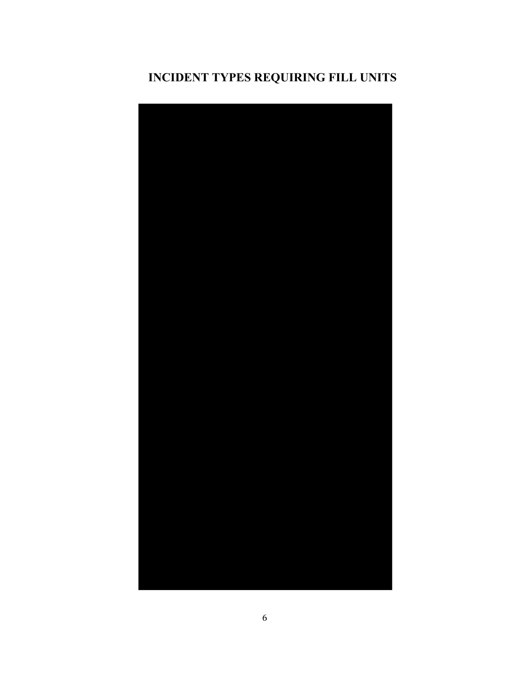## **INCIDENT TYPES REQUIRING FILL UNITS**

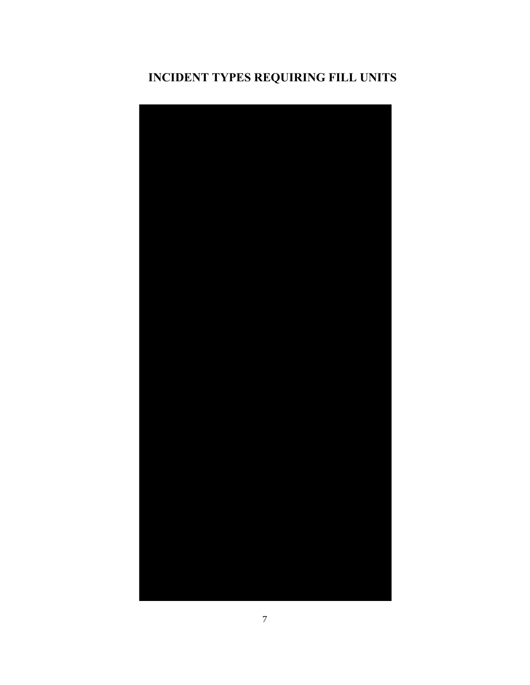## **INCIDENT TYPES REQUIRING FILL UNITS**